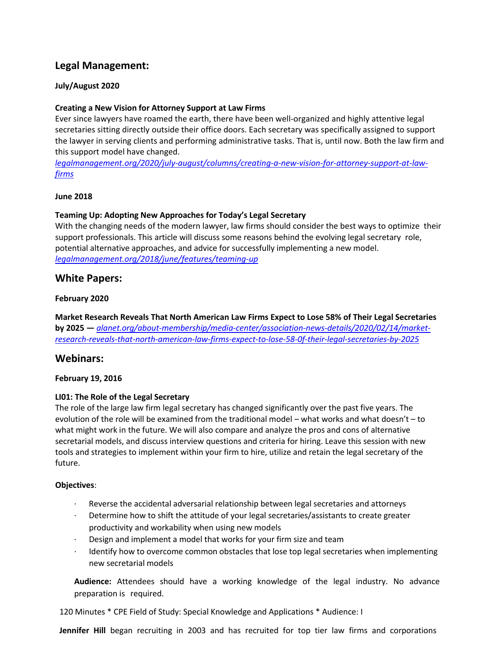# **Legal Management:**

### **July/August 2020**

### **Creating a New Vision for Attorney Support at Law Firms**

Ever since lawyers have roamed the earth, there have been well-organized and highly attentive legal secretaries sitting directly outside their office doors. Each secretary was specifically assigned to support the lawyer in serving clients and performing administrative tasks. That is, until now. Both the law firm and this support model have changed.

*[legalmanagement.org/2020/july-august/columns/creating-a-new-vision-for-attorney-support-at-law](https://www.legalmanagement.org/2020/july-august/columns/creating-a-new-vision-for-attorney-support-at-law-firms)[firms](https://www.legalmanagement.org/2020/july-august/columns/creating-a-new-vision-for-attorney-support-at-law-firms)*

#### **June 2018**

### **Teaming Up: Adopting New Approaches for Today's Legal Secretary**

With the changing needs of the modern lawyer, law firms should consider the best ways to optimize their support professionals. This article will discuss some reasons behind the evolving legal secretary role, potential alternative approaches, and advice for successfully implementing a new model. *[legalmanagement.org/2018/june/features/teaming-up](https://www.legalmanagement.org/2018/june/features/teaming-up)*

### **White Papers:**

### **February 2020**

**Market Research Reveals That North American Law Firms Expect to Lose 58% of Their Legal Secretaries by 2025 —** *[alanet.org/about-membership/media-center/association-news-details/2020/02/14/market](https://www.alanet.org/about-membership/media-center/association-news-details/2020/02/14/market-research-reveals-that-north-american-law-firms-expect-to-lose-58-0f-their-legal-secretaries-by-2025)[research-reveals-that-north-american-law-firms-expect-to-lose-58-0f-their-legal-secretaries-by-2025](https://www.alanet.org/about-membership/media-center/association-news-details/2020/02/14/market-research-reveals-that-north-american-law-firms-expect-to-lose-58-0f-their-legal-secretaries-by-2025)*

### **Webinars:**

### **February 19, 2016**

### **LI01: The Role of the Legal Secretary**

The role of the large law firm legal secretary has changed significantly over the past five years. The evolution of the role will be examined from the traditional model – what works and what doesn't – to what might work in the future. We will also compare and analyze the pros and cons of alternative secretarial models, and discuss interview questions and criteria for hiring. Leave this session with new tools and strategies to implement within your firm to hire, utilize and retain the legal secretary of the future.

### **Objectives**:

- Reverse the accidental adversarial relationship between legal secretaries and attorneys
- Determine how to shift the attitude of your legal secretaries/assistants to create greater productivity and workability when using new models
- Design and implement a model that works for your firm size and team
- Identify how to overcome common obstacles that lose top legal secretaries when implementing new secretarial models

**Audience:** Attendees should have a working knowledge of the legal industry. No advance preparation is required.

120 Minutes \* CPE Field of Study: Special Knowledge and Applications \* Audience: I

**Jennifer Hill** began recruiting in 2003 and has recruited for top tier law firms and corporations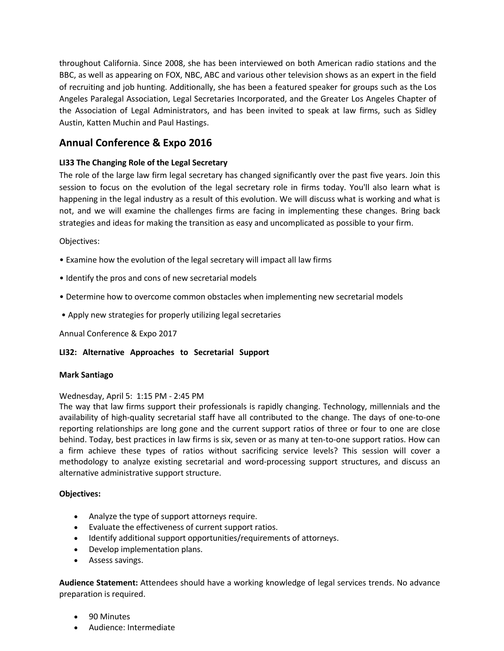throughout California. Since 2008, she has been interviewed on both American radio stations and the BBC, as well as appearing on FOX, NBC, ABC and various other television shows as an expert in the field of recruiting and job hunting. Additionally, she has been a featured speaker for groups such as the Los Angeles Paralegal Association, Legal Secretaries Incorporated, and the Greater Los Angeles Chapter of the Association of Legal Administrators, and has been invited to speak at law firms, such as Sidley Austin, Katten Muchin and Paul Hastings.

# **Annual Conference & Expo 2016**

### **LI33 The Changing Role of the Legal Secretary**

The role of the large law firm legal secretary has changed significantly over the past five years. Join this session to focus on the evolution of the legal secretary role in firms today. You'll also learn what is happening in the legal industry as a result of this evolution. We will discuss what is working and what is not, and we will examine the challenges firms are facing in implementing these changes. Bring back strategies and ideas for making the transition as easy and uncomplicated as possible to your firm.

### Objectives:

- Examine how the evolution of the legal secretary will impact all law firms
- Identify the pros and cons of new secretarial models
- Determine how to overcome common obstacles when implementing new secretarial models
- Apply new strategies for properly utilizing legal secretaries

Annual Conference & Expo 2017

### **LI32: Alternative Approaches to Secretarial Support**

### **Mark Santiago**

### Wednesday, April 5: 1:15 PM - 2:45 PM

The way that law firms support their professionals is rapidly changing. Technology, millennials and the availability of high-quality secretarial staff have all contributed to the change. The days of one-to-one reporting relationships are long gone and the current support ratios of three or four to one are close behind. Today, best practices in law firms is six, seven or as many at ten-to-one support ratios. How can a firm achieve these types of ratios without sacrificing service levels? This session will cover a methodology to analyze existing secretarial and word-processing support structures, and discuss an alternative administrative support structure.

### **Objectives:**

- Analyze the type of support attorneys require.
- Evaluate the effectiveness of current support ratios.
- Identify additional support opportunities/requirements of attorneys.
- Develop implementation plans.
- Assess savings.

**Audience Statement:** Attendees should have a working knowledge of legal services trends. No advance preparation is required.

- 90 Minutes
- Audience: Intermediate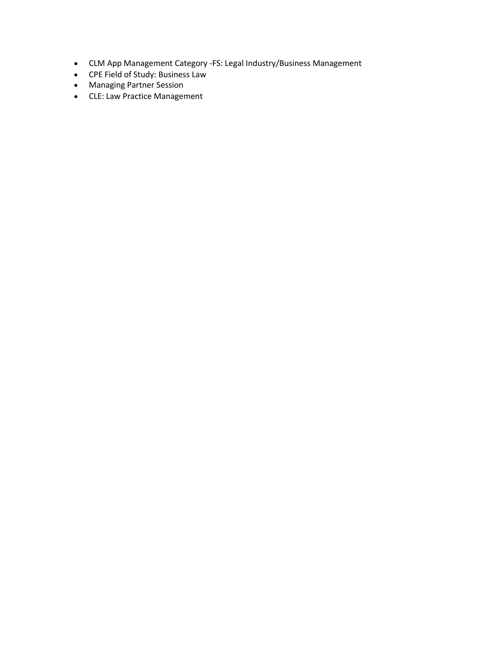- CLM App Management Category -FS: Legal Industry/Business Management
- CPE Field of Study: Business Law
- Managing Partner Session
- CLE: Law Practice Management